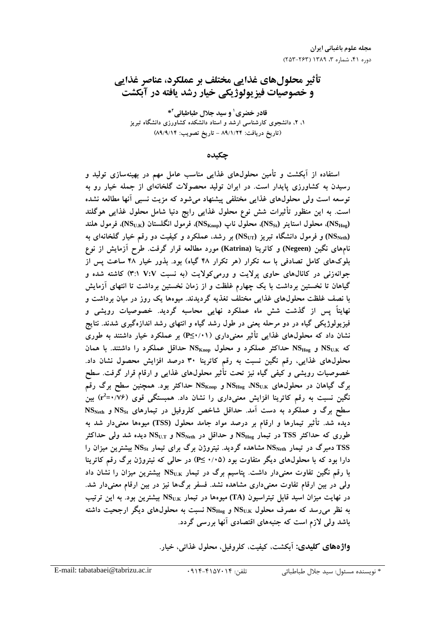تأثیر محلولهای غذایی مختلف بر عملکرد، عناصر غذایی و خصوصیات فیزیولوژیکی خیار رشد یافته در آبکشت

قادر خضری' و سید جلال طباطبائی<sup>۲</sup>\* ۱، ۲، دانشجوی کارشناسی ارشد و استاد دانشکده کشاورزی دانشگاه تبریز (تاريخ دريافت: ۸۹/۱/۲۴ - تاريخ تصويب: ۸۹/۹/۱۴)

حكىدە

استفاده از آبکشت و تأمین محلولهای غذایی مناسب عامل مهم در بهینهسازی تولید و رسیدن به کشاورزی پایدار است. در ایران تولید محصولات گلخانهای از جمله خیار رو به توسعه است ولی محلولهای غذایی مختلفی پیشنهاد میشود که مزیت نسبی آنها مطالعه نشده است. به این منظور تأثیرات شش نوع محلول غذایی رایج دنیا شامل محلول غذایی هوگلند (NS<sub>Hog</sub>)، محلول استاينر (NS<sub>St</sub>)، محلول ناب (NS<sub>Knop</sub>)، فرمول انگلستان (NS<sub>U.K</sub>)، فرمول هلند (NS دورقم خیار گلخانهای به انشگاه تبریز (NS تبریز) به رشد، عملکرد و کیفیت دو رقم خیار گلخانهای به ا نامهای نگین (Negeen) و کاترینا (Katrina) مورد مطالعه قرار گرفت. طرح آزمایش از نوع بلوکهای کامل تصادفی با سه تکرار (هر تکرار ۴۸ گیاه) بود. بذور خیار ۴۸ ساعت پس از جوانهزنی در کانالهای حاوی پرلایت و ورمی کولایت (به نسبت V:V ۳:۱ ) کاشته شده و گیاهان تا نخستین برداشت با یک چهارم غلظت و از زمان نخستین برداشت تا انتهای آزمایش با نصف غلظت محلول@ای غذایی مختلف تغذیه گردیدند. میوهها یک روز در میان برداشت و نهایتاً پس از گذشت شش ماه عملکرد نهایی محاسبه گردید. خصوصیات رویشی و فیزیولوژیکی گیاه در دو مرحله یعنی در طول رشد گیاه و انتهای رشد اندازهگیری شدند. نتایج نشان داد که محلولهای غذایی تأثیر معنیداری (۱۰/۱≥P) بر عملکرد خیار داشتند به طوری که NS<sub>U.K</sub> و NS<sub>Hog</sub> حداکثر عملکرد و محلول NS<sub>Knop</sub> حداقل عملکرد را داشتند. با همان محلولهای غذایی، رقم نگین نسبت به رقم کاترینا ۳۰ درصد افزایش محصول نشان داد. خصوصیات رویشی و کیفی گیاه نیز تحت تأثیر محلولهای غذایی و ارقام قرار گرفت. سطح برگ گیاهان در محلولهای  $\mathrm{NS}_\mathrm{Hog}$  و  $\mathrm{NS}_\mathrm{Knop}$  حداکثر بود. همچنین سطح برگ رقم نگین نسبت به رقم کاترینا افزایش معنیداری را نشان داد. همبستگی قوی (۰/۷۶–r<sup>2</sup>) بین سطح برگ و عملکرد به دست آمد. حداقل شاخص کلروفیل در تیمارهای NSst و NS $_{\rm Net}$ دیده شد. تأثیر تیمارها و ارقام بر درصد مواد جامد محلول (TSS) میوهها معنیدار شد به طوری که حداکثر TSS در تیمار  $\mathrm{NS}_\mathrm{Hog}$  و حداقل در  $\mathrm{NS}_\mathrm{Neth}$  و  $\mathrm{NS}_\mathrm{U}$  دیده شد ولمی حداکثر TSS دمبرگ در تیمار NS<sub>Neth</sub> مشاهده گردید. نیتروژن برگ برای تیمار NS<sub>St</sub> بیشترین میزان را دارا بود که با محلولهای دیگر متفاوت بود (۰/۰۵ ≥P) در حالی که نیتروژن برگ رقم کاترینا با رقم نگین تفاوت معنیدار داشت. پتاسیم برگ در تیمار NS<sub>U.K</sub> بیشترین میزان را نشان داد ولی در بین ارقام تفاوت معنیداری مشاهده نشد. فسفر برگها نیز در بین ارقام معنیدار شد. در نهایت میزان اسید قابل تیتراسیون (TA) میوهها در تیمار NS<sub>U.K</sub> بیشترین بود. به این ترتیب به نظر میرسد که مصرف محلول  $\rm{NS}_{Hog}$  و  $\rm{NS}_{Hog}$  نسبت به محلولهای دیگر ارجحیت داشته باشد ولی لازم است که جنبههای اقتصادی آنها بررسی گردد.

واژههای کلیدی: آبکشت، کیفیت، کلروفیل، محلول غذائی، خیار.

تلفن: ۰۹۱۴-۴۱۵۷۰۱۴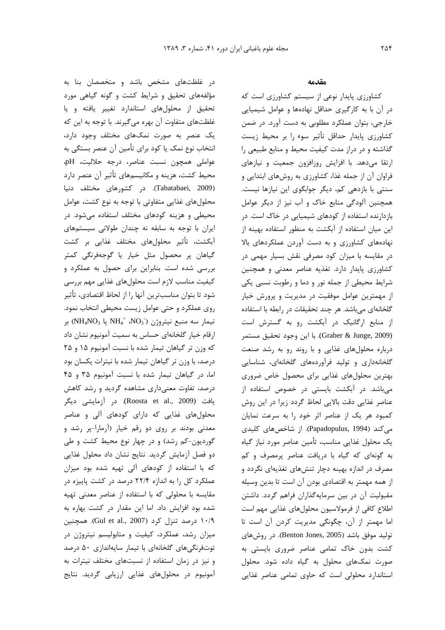د. غلظتهای مشخص باشد و مت*خصص*ان بنا به مؤلفههای تحقیق و شرایط کشت و گونه گیاه*ی م*ورد .<br>تحقيق از محلولهاي استاندارد تغيير بافته و با غلظتهای متفاوت آن بهره میگیرند. با توجه به این که .<br>یک عنصر به صورت نمکهای مختلف وجود دارد، انتخاب نوع نمک با کود برای تأمین آن عنصر بستگ*ی* به عواملي همچون نسبت عناصر، درجه حلالیت، pH، محيط كشت، هزينه و مكانيسمهاي تأثير آن عنصر دارد (Tabatabaei, 2009). در کشورهای مختلف دنیا .<br>محلولهای غذایی متفاوتی با توجه به نوع کشت، عوامل محیطی و هزینه کودهای مختلف استفاده م*ی ش*ود. د<sub>ر</sub> ایران با توجه به سابقه نه چندان طولانی سیستمهای آبکشت، تأثیر محلولهای مختلف غذایی بر کشت گياهان پر محصول مثل خيار يا گوجهفرنگ*ي* كمتر بن سي شده است. بنابرابن براي حصول به عملكرد و كيفيت مناسب لا:م است محلول هاي غذايي مهم بي سي شود تا بتوان مناسبتر بن آنها ,ا از لحاظ اقتصادی، تأثیر .وی عملکرد و حت*ی* عوامل ; بست محیطے انتخاب نمود. بر (NH4NO3  $_3$  يا NH4 $^+$  ،NO3) بر MH4NO3 بر . قام خيار گلخانهاي حساس به سميت آمونيوم نشان داد  $\overline{\phantom{a}}$ كه وزن تو گياهان تيمار شده با نسبت آمونيوم ۱۵ و ۲۵ د.صد، با وزن تر گیاهان تیما. شده با نیترات بکسان بود اما، د. گياهان تيما، شده با نسبت آمونيوم ۳۵ و ۴۵ د<sub>،</sub> صد، تفاوت معنے داری مشاهده گردید و رشد کاهش يافت (Roosta et al., 2009). در آزمايشي ديگر محلولهای غذایی که دارای کودهای آلی و عناصر .<br>معدني پودند پي <sub>دو</sub>ي دو .قم خيار (آرمارا-پي شد و گورديون-کم رشد) و در حمل نوع محيط کشت و طي دو فصل آزمایش گردید. نتایج نشان داد محلول غذایی که با استفاده از کودهای آلی تهیه شده بود میزان عملکرد کل را به اندازه ۲۲/۴ درصد در کشت بابیزه در مقایسه با محلولی که با استفاده از عناصر معدنی تفیه .<br>شده بود افزایش داد. اما این مقدار در کشت بهاره به درصد تنزل کرد (Gul et al., 2007). همچنین (Gul et al., 2007) ميزان رشد، عملکاد، کيفيت و متابوليسم نيتروژن در توتڧ نگرهای گلخانهای با تیمار سایهاندازی ۵۰ درصد و نیز در زمان استفاده از نسبتهای مختلف نیترات به ۔<br>آمونیوم در محلولھای غذایے ارزبایی گردید. نتایج

## مقدمه

۔<br>کشاورزی بابدار نوعی از سیستم کشاورزی است که در آن با به کارگیری حداقل نهادهها و عوامل شیمیای*ی* .<br>خارجي، بتوان عملكرد مطلوبي به دست آورد. در ضمن كشاه،زي بايدار حداقل تأثير سوء را بر محيط زيست گذاشته و در دراز مدت کیفیت محیط و منابع طبیعی را , تقا مے،دهد. با افزایش ,وزافزون جمعیت و نیازهای  $\overline{1}$ فراوان آن از جمله غذا، کشاورزی به روشهای ابتدایی و سنتی با بازدهی کم، دیگر جوابگوی این نیازها نیست. همحنین آلودگی منابع خاک و آب نیز از دیگر عوامل بازدارنده استفاده از کودهای شیمیایی در خاک است. در ابن مبان استفاده از آیکشت به منظور استفاده بهینه از .<br>نهادههای کشاورزی و به دست آوردن عملکردهای بالا د. مقایسه با میزان کود مصرفی نقش بسیار مه*می* در کشاورزی بایدار دارد. تغذیه عناصر معدنی و همچنین .<br>شرایط محیطی از جمله نور و دما و رطوبت نسبی یکی از مهمترین عوامل موفقیت در مدیریت و برورش خیار گلخانهای می باشد. هر حند تحقیقات در رابطه با استفاده .<br>از منابع ارگانیک در آیکشت رو به گسترش است Graber & Junge, 2009). با اين وجود تحقيق مستمر د.باره محلولهای غذایی و با روند رو به رشد صنعت گلخانهداری و تولید فرآوردههای گلخانهای، شناسای*ی* دمترن محلولهای غذایی برای محصول خاص ضروری مریاشد. در آیکشت بایستر در خصوص استفاده از .<br>عناصر غذایی دقت بالایی لحاظ گردد زیرا در این روش کمپود هر یک از عناصر اثر خود ۱٫ به سرعت نمایان میکند (Papadopulus, 1994). از شاخصهای کلیدی ری<br>یک محلول غذایی مناسب، تأمین عناصر مورد نیاز گیاه <sub>نه</sub> گونهای که گیاه با د<sub>ُ</sub> بافت عناصر برمصرف و ک<u>م</u> مصرف د. اندازه بهینه دجا، تنش های تغذیهای نگردد و از همه مهمتر به اقتصادى بودن آن است تا بدين وسيله مقبولیت آن در بین سرمایهگذاران فراهم گردد. داشتن اطلاع كافي از فرمولاسيون محلولهاي غذايي مهم است اما مهمتر از آن، چگونگی مدیریت کردن آن است تا .<br>تولید موفق باشد (Benton Jones, 2005). در روشهای کشت بدون خاک تما*می* عناصر ضروری بایست*ی* به صورت نمک@ای محلول به گیاه داده شود. محلول استاندارد محلولی است که جاوی تمامی عناصر غذایی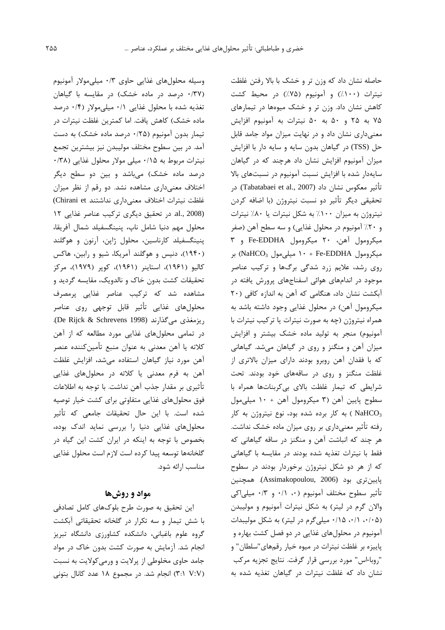وسیله محلول های غذایی حاوی ۰/۳ میلی مولار آمونیوم (۰/۳۷ درصد در ماده خشک) در مقایسه با گیاهان تغذیه شده با محلول غذایی ۰/۱ میلی مولار (۰/۴ درصد ماده خشک) کاهش یافت. اما کمترین غلظت نیترات در تیمار بدون آمونیوم (۲۵/۰ درصد ماده خشک) به دست آمد. در بین سطوح مختلف مولیبدن نیز بیشترین تجمع نیترات مربوط به ۰/۱۵ میلی مولار محلول غذایی (۳۸۰ درصد ماده خشک) میباشد و بین دو سطح دیگر اختلاف معنى دارى مشاهده نشد. دو رقم از نظر ميزان غلظت نيترات اختلاف معنى دارى نداشتند Chirani et) (al., 2008 در تحقيق ديگرى تركيب عناصر غذايى ١٢ محلول مهم دنيا شامل ناب، ينينگسفيلد شمال آفريقا، پنینگسفیلد کارناسین، محلول ژاپن، آرنون و هوگلند (۱۹۴۰)، دنیس و هوگلند آمریکا، شیو و رابین، هاکس کالیو (۱۹۶۱)، استاینر (۱۹۶۱)، کویر (۱۹۷۹)، مرکز تحقیقات کشت بدون خاک و نالدویک، مقایسه گردید و مشاهده شد که ترکیب عناصر غذایی پرمصرف محلولهاى غذايى تأثير قابل توجهي روى عناصر CDe Rijck & Schrevens 1998). ریزمغذی می گذارند (De Rijck & Schrevens 1998). در تمامی محلولهای غذایی مورد مطالعه که از آهن كلاته يا آهن معدني به عنوان منبع تأمينكننده عنصر آهن مورد نياز گياهان استفاده مى شد، افزايش غلظت آهن به فرم معدنی یا کلاته در محلولهای غذایی تأثيري بر مقدار جذب آهن نداشت. با توجه به اطلاعات فوق محلولهای غذایی متفاوتی برای کشت خیار توصیه شده است. با این حال تحقیقات جامعی که تأثیر محلول های غذایی دنیا را بررسی نماید اندک بوده، بخصوص با توجه به اینکه در ایران کشت این گیاه در گلخانهها توسعه پیدا کرده است لازم است محلول غذایی مناسب ارائه شود.

## مواد و روشها

این تحقیق به صورت طرح بلوکهای کامل تصادفی با شش تیمار و سه تکرار در گلخانه تحقیقاتی آبکشت گروه علوم باغبانی، دانشکده کشاورزی دانشگاه تبریز انجام شد. آزمایش به صورت کشت بدون خاک در مواد جامد حاوی مخلوطی از پرلایت و ورمی کولایت به نسبت (٣:١ ٧:٧) انجام شد. در مجموع ١٨ عدد كانال بتوني

حاصله نشان داد که وزن تر و خشک با بالا رفتن غلظت نيترات (١٠٠٪) و آمونيوم (٧۵٪) در محيط كشت کاهش نشان داد. وزن تر و خشک میوهها در تیمارهای ۷۵ به ۲۵ و ۵۰ به ۵۰ نیترات به آمونیوم افزایش معنی داری نشان داد و در نهایت میزان مواد جامد قابل حل (TSS) در گیاهان بدون سایه و سایه دار با افزایش میزان آمونیوم افزایش نشان داد هرچند که در گیاهان سایهدار شده با افزایش نسبت آمونیوم در نسبتهای بالا تأثير معكوس نشان داد (Tabatabaei et al., 2007). در تحقيقي ديگر تأثير دو نسبت نيتروژن (با اضافه كردن نیتروژن به میزان ۱۰۰٪ به شکل نیترات یا ۸۰٪ نیترات و ۲۰٪ آمونیوم در محلول غذایی) و سه سطح آهن (صفر ميكرومول آهن، ٢٠ ميكرومول Fe-EDDHA و ٣ بر NaHCO<sub>3</sub> میکرومول ۱۰ + Fe-EDDHA بر روی رشد، علایم زرد شدگی برگها و ترکیب عناصر موجود در اندامهای هوائی اسفناجهای پرورش یافته در آبکشت نشان داد، هنگامی که آهن به اندازه کافی (٢٠ میکرومول آهن) در محلول غذایی وجود داشته باشد به همراه نیتروژن (چه به صورت نیترات یا ترکیب نیترات با آمونیوم) منجر به تولید ماده خشک بیشتر و افزایش میزان آهن و منگنز و روی در گیاهان میشد. گیاهانی که با فقدان آهن روبرو بودند دارای میزان بالاتری از غلظت منگنز و روی در ساقههای خود بودند. تحت شرایطی که تیمار غلظت بالای بی کربناتها همراه با سطوح پایین آهن (۳ میکرومول آهن + ۱۰ میلی مول به کار برده شده بود، نوع نیتروژن به کار NaHCO3 رفته تأثیر معنیداری بر روی میزان ماده خشک نداشت. هر چند که انباشت آهن و منگنز در ساقه گیاهانی که فقط با نیترات تغذیه شده بودند در مقایسه با گیاهانی که از هر دو شکل نیتروژن برخوردار بودند در سطوح پايين تري بود (Assimakopoulou, 2006). همچنين تأثير سطوح مختلف آمونيوم (٠، ٠/١ و ٠/٣ ميلياكي والان گرم در لیتر) به شکل نیترات آمونیوم و مولیبدن (۰/۰۵ ۰/۱۵، ۰/۱۵ میلیگرم در لیتر) به شکل مولیبدات آمونیوم در محلولهای غذایی در دو فصل کشت بهاره و پاییزه بر غلظت نیترات در میوه خیار رقمهای"سلطان" و "روبا-اس" مورد بررسي قرار گرفت. نتايج تجزيه مركب نشان داد که غلظت نیترات در گیاهان تغذیه شده به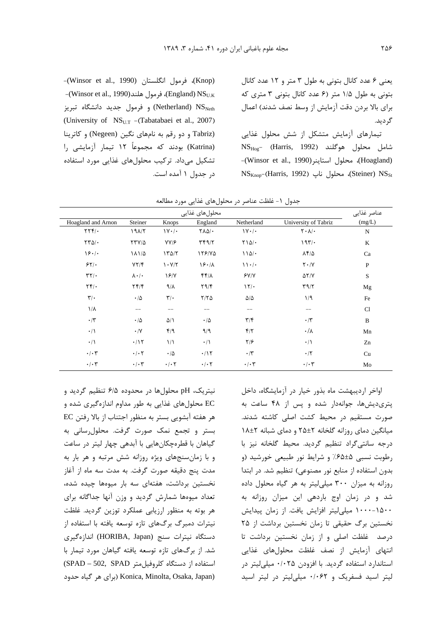برای بالا بردن دقت آزمایش از وسط نصف شدند) اعمال گر دید.

تیمارهای آزمایش متشکل از شش محلول غذایی NS<sub>Hog</sub>- (Harris, 1992) شامل محلول هوگلند (Hoagland)، محلول استاينر (Winsor et al., 1990)- $\text{NS}_{\text{Knop}}$ (Harris, 1992) محلول ناپ (Steiner)  $\text{NS}_{\text{St}}$ 

-(Knop)، فرمول انگلستان (Winsor et al., 1990) -(Winsor et al., 1990)، فرمول هلند (England) NS و فرمول جدید دانشگاه تبریز (Netherland) NS (University of NS<sub>U.T</sub> - (Tabatabaei et al., 2007) (Tabriz و دو رقم به نامهای نگین (Negeen) و کاترینا (Katrina) بودند که مجموعاً ۱۲ تیمار آزمایشی را تشکیل میداد. ترکیب محلولهای غذایی مورد استفاده در جدول ۱ آمده است.

|                                             |                           | ╯                                           | پ<br>ັັ                   | , ,                          | . رن                                     |              |
|---------------------------------------------|---------------------------|---------------------------------------------|---------------------------|------------------------------|------------------------------------------|--------------|
|                                             |                           |                                             | محلول های غذایی           |                              |                                          | عناصر غذايي  |
| Hoagland and Arnon                          | Steiner                   | Knops                                       | England                   | Netherland                   | University of Tabriz                     | (mg/L)       |
| $\mathbf{Y}\mathbf{Y}\mathbf{Y}/\mathbf{0}$ | $19\lambda/T$             | $\mathcal{V} \cdot \mathcal{V}$             | <b>TAD/.</b>              | $\mathcal{W} \cdot / \cdot$  | $\mathbf{Y} \cdot \mathbf{A}/\mathbf{A}$ | $\mathbf N$  |
| $\tau\tau\Delta/\cdot$                      | $YYV/\Delta$              | YY/F                                        | $\tau$ $\tau$ $\gamma$    | $Y \setminus \Delta / \cdot$ | 197/                                     | K            |
| 18.1                                        | 18110                     | 170/7                                       | 178/70                    | $110/-$                      | ۸۴/۵                                     | Ca           |
| 55                                          | YY/F                      | $\mathcal{N} \cdot \mathcal{N}/\mathcal{N}$ | 19.1                      | 11.1                         | $Y \cdot / Y$                            | $\, {\bf P}$ |
| $\tau\tau/\cdot$                            | $\lambda \cdot / \cdot$   | 19/7                                        | $f(f/\lambda)$            | Y/Y                          | $\Delta Y/Y$                             | S            |
| $\mathbf{Y} \mathbf{Y}$ .                   | $Yf/\mathfrak{f}$         | $9/\lambda$                                 | Y9/F                      | 17/                          | $\Upsilon$                               | Mg           |
| $\mathbf{r}/\cdot$                          | $\cdot/\Delta$            | $\mathbf{r}/\cdot$                          | $Y/Y$ $\Delta$            | $\Delta/\Delta$              | 1/9                                      | Fe           |
| $1/\lambda$                                 | $--$                      | $- -$                                       | $- -$                     | $- -$                        | $\qquad \qquad -$                        | C1           |
| $\cdot$ /٣                                  | $\cdot/\Delta$            | $\Delta/\Lambda$                            | $\cdot/\Delta$            | $\mathbf{r}/\mathbf{r}$      | $\cdot$ /۳                               | B            |
| $\cdot/\Lambda$                             | $\boldsymbol{\cdot}$ /V   | f/9                                         | 9/9                       | $f/\tau$                     | $\cdot/\lambda$                          | Mn           |
| $\cdot/\right)$                             | $\cdot$ /1٢               | $\frac{1}{2}$                               | $\cdot/$                  | $\frac{1}{2}$                | $\cdot/\wedge$                           | Zn           |
| $\cdot/\cdot7$                              | $\cdot$ / $\cdot$ $\cdot$ | $\cdot/\Delta$                              | $\cdot/\gamma$            | $\cdot$ /۳                   | $\cdot$ /٢                               | Cu           |
| $\cdot/\cdot7$                              | $\cdot$ / $\cdot$ $\tau$  | $\cdot$ / $\cdot$ $\cdot$                   | $\cdot$ / $\cdot$ $\cdot$ | $\cdot/\cdot7$               | $\cdot/\cdot7$                           | Mo           |

جدول ١- غلظت عناصر در محلول های غذایی مورد مطالعه

نیتریک، pH محلولها در محدوده ۶/۵ تنظیم گردید و EC محلولهای غذایی به طور مداوم اندازهگیری شده و هر هفته آبشويي بستر به منظور اجتناب از بالا رفتن EC بستر و تجمع نمک صورت گرفت. محلول رسانی به گیاهان با قطرهچکانهایی با آبدهی چهار لیتر در ساعت و با زمانسنجهای ویژه روزانه شش مرتبه و هر بار به مدت پنج دقیقه صورت گرفت. به مدت سه ماه از آغاز نخستین برداشت، هفتهای سه بار میوهها چیده شده، تعداد میوهها شمارش گردید و وزن آنها جداگانه برای هر بوته به منظور ارزیابی عملکرد توزین گردید. غلظت نیترات دمبرگ برگهای تازه توسعه یافته با استفاده از دستگاه نیترات سنج (HORIBA, Japan) اندازهگیری شد. از برگهای تازه توسعه یافته گیاهان مورد تیمار با استفاده از دستگاه کلروفیل متر SPAD - 502, SPAD) (برای هر گیاه حدود) Konica, Minolta, Osaka, Japan)

اواخر اردیبهشت ماه بذور خیار در آزمایشگاه، داخل پتری دیشها، جوانهدار شده و پس از ۴۸ ساعت به صورت مستقیم در محیط کشت اصلی کاشته شدند. میانگین دمای روزانه گلخانه ۲±۲۵ و دمای شبانه ۲±۱۸ درجه سانتی گراد تنظیم گردید. محیط گلخانه نیز با رطوبت نسبی ۶۵±۶۵٪ و شرایط نور طبیعی خورشید (و بدون استفاده از منابع نور مصنوعی) تنظیم شد. در ابتدا روزانه به میزان ۳۰۰ میلی لیتر به هر گیاه محلول داده شد و در زمان اوج باردهی این میزان روزانه به ۱۰۰۰-۱۵۰۰ میلی لیتر افزایش یافت. از زمان پیدایش نخستین برگ حقیقی تا زمان نخستین برداشت از ۲۵ درصد غلظت اصلی و از زمان نخستین برداشت تا انتهای آزمایش از نصف غلظت محلولهای غذایی استاندارد استفاده گردید. با افزودن ۰/۰۲۵ میلی لیتر در لیتر اسید فسفریک و ۰/۰۶۲ میلی لیتر در لیتر اسید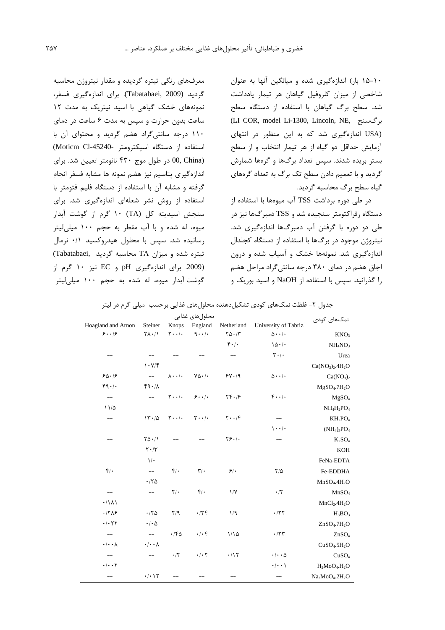۱۰-۱۵ بار) اندازهگیری شده و میانگین آنها به عنوان شاخصی از میزان کلروفیل گیاهان هر تیمار یادداشت شد. سطح برگ گیاهان با استفاده از دستگاه سطح (LI COR, model Li-1300, Lincoln, NE, برگسنج (USA اندازهگیری شد که به این منظور در انتهای آزمایش حداقل دو گیاه از هر تیمار انتخاب و از سطح بستر بریده شدند. سیس تعداد برگها و گرهها شمارش گردید و با تعمیم دادن سطح تک برگ به تعداد گرمهای گیاه سطح برگ محاسبه گردید.

در طی دوره برداشت TSS آب میوهها با استفاده از دستگاه رفراکتومتر سنجیده شد و TSS دمبرگها نیز در طی دو دوره با گرفتن آب دمبرگها اندازهگیری شد. نیتروژن موجود در برگها با استفاده از دستگاه کجلدال اندازهگیری شد. نمونهها خشک و آسیاب شده و درون اجاق هضم در دمای ۳۸۰ درجه سانتی گراد مراحل هضم را گذرانید. سیس با استفاده از NaOH و اسید بوریک و

معرفهای رنگی تیتره گردیده و مقدار نیتروژن محاسبه گردید (Tabatabaei, 2009). برای اندازهگیری فسفر، نمونههای خشک گیاهی با اسید نیتریک به مدت ١٢ ساعت بدون حرارت و سیس به مدت ۶ ساعت در دمای ١١٠ درجه سانتي گراد هضم گرديد و محتواي آن با استفاده از دستگاه اسیکترومتر -Moticm Cl-45240) 00, China) در طول موج ۴۳۰ نانومتر تعیین شد. برای اندازهگیری پتاسیم نیز هضم نمونه ها مشابه فسفر انجام گرفته و مشابه آن با استفاده از دستگاه فلیم فتومتر با استفاده از روش نشر شعلهای اندازهگیری شد. برای سنجش اسیدیته کل (TA) ۱۰ گرم از گوشت آبدار میوه، له شده و با آب مقطر به حجم ۱۰۰ میلی لیتر رسانیده شد. سپس با محلول هیدروکسید ۰/۱ نرمال تیتره شده و میزان TA محاسبه گردید (Tabatabaei (2009. برای اندازهگیری pH و EC نیز ۱۰ گرم از گوشت آبدار میوه، له شده به حجم ۱۰۰ میلی لیتر

| نمکھای کودی                          | محلول های غذایی                  |                                                     |                                           |                                       |                               |                                         |  |
|--------------------------------------|----------------------------------|-----------------------------------------------------|-------------------------------------------|---------------------------------------|-------------------------------|-----------------------------------------|--|
|                                      | University of Tabriz             | Netherland                                          | England                                   | Knops                                 | Steiner                       | <b>Hoagland and Arnon</b>               |  |
| KNO <sub>3</sub>                     | $\Delta \cdot \cdot$ / $\cdot$   | $\Gamma \Delta \cdot / \Gamma$                      | $9 \cdot \cdot$                           | $\mathbf{Y} \cdot \cdot / \cdot$      | $Y(\lambda \cdot / \lambda)$  | 9.19                                    |  |
| NH <sub>4</sub> NO <sub>3</sub>      | 10.1                             | $f \cdot / \cdot$                                   |                                           |                                       |                               |                                         |  |
| Urea                                 | $\mathbf{r} \cdot \mathbf{r}$    | $-$                                                 |                                           |                                       |                               |                                         |  |
| $Ca(NO3)2.4H2O$                      | $-\!$ $\!-$                      | $--$                                                |                                           | $--$                                  | 1.97                          | $-\!$ –                                 |  |
| Ca(NO <sub>3</sub> ) <sub>2</sub>    | $\Delta \cdot \cdot$ / $\cdot$   | $9Y \cdot 9$                                        | $Y\Delta \cdot$ /.                        | $\lambda \cdot \cdot / \cdot$         | $--$                          | 80.19                                   |  |
| MgSO <sub>4</sub> .7H <sub>2</sub> O | $\qquad \qquad -$                | $-\!$ $\!-$                                         |                                           | $\hspace{0.05cm}--\hspace{0.05cm}$    | 44.1                          | 49.1                                    |  |
| MgSO <sub>4</sub>                    | $\mathfrak{r}\cdots\mathfrak{l}$ | $\mathbf{Y} \mathbf{Y} \cdot \mathbf{1} \mathbf{S}$ | $9 \cdot \cdot \cdot$                     | $\mathbf{Y}\cdot\cdot\mathbf{/}\cdot$ | $\qquad \qquad -$             | $\qquad \qquad -$                       |  |
| $NH_4H_2PO_4$                        | $\qquad \qquad -$                | $-\!$ $\!-$                                         | $--$                                      |                                       | $--$                          | 11/2                                    |  |
| $KH_2PO_4$                           |                                  | $\mathbf{Y} \cdot \cdot \mathbf{F}$                 | $\mathbf{r} \cdot \cdot \mathbf{1} \cdot$ | $\mathbf{Y} \cdot \cdot / \cdot$      | 15.40                         |                                         |  |
| $(NH_4)_3PO_4$                       | $\cdot \cdot \cdot$              | $--$                                                |                                           |                                       | $-\!$ $\!-$                   |                                         |  |
| $K_2SO_4$                            |                                  | $Y\S.$                                              |                                           |                                       | $Y\Delta \cdot / \Delta$      |                                         |  |
| <b>KOH</b>                           |                                  | $-$                                                 |                                           | --                                    | $\mathbf{Y} \cdot \mathbf{X}$ |                                         |  |
| FeNa-EDTA                            | $\qquad \qquad -$                | $\qquad \qquad -$                                   |                                           | $\qquad \qquad -$                     | $\mathcal{N}$                 | $\qquad \qquad -$                       |  |
| Fe-EDDHA                             | $Y/\Delta$                       | $\mathcal{S}/\mathcal{S}$                           | $\mathbf{r}/\cdot$                        | $\mathfrak{f}/\mathfrak{g}$           | $-\!$ $\!-$                   | $\mathfrak{f}/\mathfrak{g}$             |  |
| MnSO <sub>4</sub> .4H <sub>2</sub> O | $\qquad \qquad -$                | $-\!$ $\!-$                                         | $\qquad \qquad -$                         | $-\!$ $\!-$                           | .78                           | $\qquad \qquad -$                       |  |
| MnSO <sub>4</sub>                    | $\cdot$ /۲                       | $\frac{1}{\sqrt{2}}$                                | $\mathfrak{f}/\mathfrak{g}$               | $\mathsf{Y}/\cdot$                    | $--$                          | $\overline{\phantom{a}}$                |  |
| MnCl <sub>2</sub> .4H <sub>2</sub> O | $--$                             | $\qquad \qquad -$                                   | $\qquad \qquad -$                         | $-\!$ $\!-$                           | $\qquad \qquad -$             | .71                                     |  |
| $H_3BO_3$                            | $\cdot$ /۲۲                      | 1/9                                                 | .759                                      | $\mathsf{Y}/\mathsf{q}$               | .78                           | .7789                                   |  |
| ZnSO <sub>4</sub> .7H <sub>2</sub> O | $--$                             | $\qquad \qquad -$                                   | $-$                                       | $-\!$ $\!-$                           | $\cdot$ / $\cdot$ $\Delta$    | $\cdot$ / $\cdot$ $\uparrow$ $\uparrow$ |  |
| ZnSO <sub>4</sub>                    | $\cdot$ /۲۳                      | 1/10                                                | $\cdot/\cdot$ ۴                           | $\cdot$ /۴۵                           | $--$                          | $\qquad \qquad -$                       |  |
| CuSO <sub>4</sub> .5H <sub>2</sub> O | $--$                             | $\qquad \qquad -$                                   | $-$                                       | $\qquad \qquad -$                     | $\cdot/\cdot\cdot\lambda$     | $\cdot/\cdot\cdot$ $\wedge$             |  |
| CuSO <sub>4</sub>                    | $\cdot$ / $\cdot$ $\wedge$       | $\cdot$ /1٢                                         | $\cdot$ / $\cdot$ $\cdot$                 | $\cdot$ /٢                            |                               |                                         |  |
| $H_2MO4.H_2O$                        | $\cdot/\cdot\cdot$               |                                                     |                                           | --                                    | $\qquad \qquad -$             | $\cdot/\cdot\cdot$ $\Upsilon$           |  |
| $Na2MoO4.2H2O$                       |                                  |                                                     | $-$                                       | $-$                                   | $\cdot/\cdot$ ) $\Upsilon$    |                                         |  |

جدول ۲- غلظت نمکهای کودی تشکیلدهنده محلولهای غذایی برحسب میلی گرم در لیتر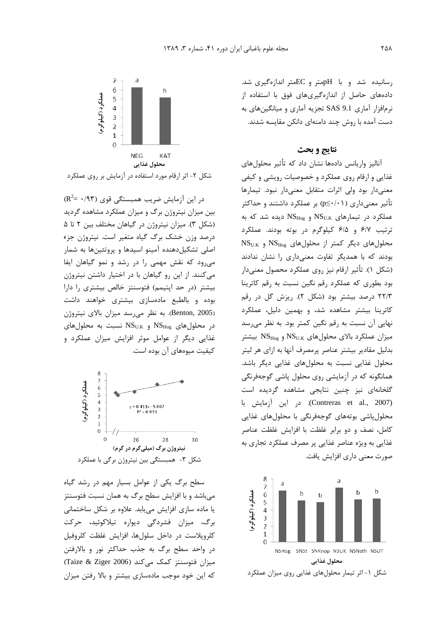رسانیده شد و با pHمتر و ECمتر اندازهگیری شد. دادههای حاصل از اندازهگیریهای فوق با استفاده از نرمافزار آماری SAS 9.1 تجزیه آماری و میانگینهای به دست آمده با روش چند دامنهای دانکن مقایسه شدند.

## نتايج و بحث

آنالیز واریانس دادهها نشان داد که تأثیر محلولهای غذایی و ارقام روی عملکرد و خصوصیات رویشی و کیفی معنیدار بود ولی اثرات متقابل معنیدار نبود. تیمارها تأثیر معنیداری (p≤·/·۱) بر عملکرد داشتند و حداکثر عملکرد در تیمارهای  $\mathrm{NS}_{\mathrm{U.K}}$  و  $\mathrm{NS}_{\mathrm{Hog}}$  دیده شد که به ترتيب ۶/۷ و ۶/۵ كيلوگرم در بوته بودند. عملكرد  $\text{NS}_{\text{U.K}}$  و  $\text{NS}_{\text{Hog}}$  و  $\text{NS}_{\text{Hog}}$ بودند که با همدیگر تفاوت معنیداری را نشان ندادند (شکل ۱). تأثیر ارقام نیز روی عملکرد محصول معنیدار بود بطوری که عملکرد رقم نگین نسبت به رقم کاترینا ٢٢/٣ درصد بيشتر بود (شكل ٢). ريزش گل در رقم کاترینا بیشتر مشاهده شد، و بهمین دلیل، عملکرد نهایی آن نسبت به رقم نگین کمتر بود. به نظر می رسد سيزان عملكرد بالاي محلول هاي  $\mathrm{NS}_\mathrm{U.K}$  و  $\mathrm{NS}_\mathrm{Hog}$  بيشتر بدلیل مقادیر بیشتر عناصر پرمصرف آنها به ازای هر لیتر محلول غذایی نسبت به محلولهای غذایی دیگر باشد. همانگونه که در آزمایشی روی محلول پاشی گوجهفرنگی گلخانهای نیز چنین نتایجی مشاهده گردیده است (Contreras et al., 2007). در این آزمایش با محلول پاشی بوتههای گوجهفرنگی با محلولهای غذایی كامل، نصف و دو برابر غلظت با افزايش غلظت عناصر غذایی به ویژه عناصر غذایی پر مصرف عملکرد تجاری به صورت معنی داری افزایش یافت.





شکل ۲- اثر ارقام مورد استفاده در آزمایش بر روی عملکرد

 $(R^2 = \cdot/97)$  در این آزمایش ضریب همبستگی قوی بین میزان نیتروژن برگ و میزان عملکرد مشاهده گردید (شکل ٣). میزان نیتروژن در گیاهان مختلف بین ٢ تا ۵ درصد وزن خشک برگ گیاه متغیر است. نیتروژن جزء اصلي تشكيل دهنده آمينو اسيدها و پروتئينها به شمار می رود که نقش مهمی را در رشد و نمو گیاهان ایفا می کنند. از این رو گیاهان با در اختیار داشتن نیتروژن بیشتر (در حد اپتیمم) فتوسنتز خالص بیشتری را دارا بوده وبالطبع مادهسازى بيشترى خواهند داشت (Benton, 2005). به نظر می رسد میزان بالای نیتروژن  $\mathrm{NS}_{\mathrm{Hog}}$  در محلولهای  $\mathrm{NS}_{\mathrm{U,K}}$  و  $\mathrm{NS}_{\mathrm{U,K}}$  نسبت به محلولهای غذایی دیگر از عوامل موثر افزایش میزان عملکرد و کیفیت میوههای آن بوده است.



سطح برگ یکی از عوامل بسیار مهم در رشد گیاه میباشد و با افزایش سطح برگ به همان نسبت فتوسنتز یا ماده سازی افزایش می یابد. علاوه بر شکل ساختمانی برگ، میزان فشردگی دیواره تیلاکوئید، حرکت کلرویلاست در داخل سلولها، افزایش غلظت کلروفیل در واحد سطح برگ به جذب حداکثر نور و بالارفتن میزان فتوسنتز کمک می کند (Taize & Ziger 2006) که این خود موجب مادهسازی بیشتر و بالا رفتن میزان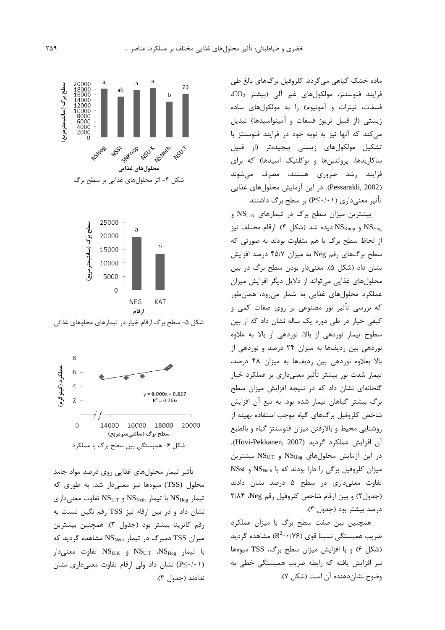ماده خشک گیاهی می گردد. کلروفیل بر گ&ای بالغ طی  $CO<sub>2</sub>$  فرایند فتوسنتز، مولکولهای غیر آلی (بیشتر  $CO<sub>2</sub>$ فسفات، نیترات و آمونیوم) را به مولکولهای ساده زیستی (از قبیل تریوز فسفات و آمینواسیدها) تبدیل می کند که آنها نیز به نوبه خود در فرایند فتوسنتز با تشکیل مولکولهای زیستی پیچیدهتر (از قبیل ساکاریدها، پروتئینها و نوکلئیک اسیدها) که برای فرایند رشد ضروری هستند، مصرف میشوند (Pessarakli, 2002). در این آزمایش محلولهای غذایی تأثیر معنے داری (P≤·/·۱) بر سطح برگ داشتند.

بیشترین میزان سطح برگ در تیمارهای NSUK و یده شد (شکل ۴). ارقام مختلف نیز NS $_{\rm Knop}$  و  ${\rm NS}_{\rm Krop}$ از لحاظ سطح برگ با هم متفاوت بودند به صورتی که سطح برگهای رقم Neg به میزان ۴۵/۷ درصد افزایش نشان داد (شکل ۵). معنیدار بودن سطح برگ در بین محلولهای غذایی میتواند از دلایل دیگر افزایش میزان عملکرد محلولهای غذایی به شمار میرود، همانطور که بررسی تأثیر نور مصنوعی بر روی صفات کمی و کیفی خیار در طی دوره یک ساله نشان داد که از بین سطوح تیمار نوردهی از بالا، نوردهی از بالا به علاوه نوردهی بین ردیفها به میزان ٢۴ درصد و نوردهی از بالا بعلاوه نوردهی بین ردیفها به میزان ۴۸ درصد، تیمار شدت نور بیشتر تأثیر معنیداری بر عملکرد خیار گلخانهای نشان داد که در نتیجه افزایش میزان سطح برگ بیشتر گیاهان تیمار شده بود. به تبع آن افزایش شاخص کلروفیل برگهای گیاه موجب استفاده بهینه از روشنايي محيط و بالارفتن ميزان فتوسنتز گياه و بالطبع آن افزايش عملكرد گرديد (Hovi-Pekkanen, 2007). در این آزمایش محلولهای  $\mathrm{NS_{Hog}}$  و  $\mathrm{NS_{U.T}}$  بیشترین MSst و NSst و NS را دارا بودند که با NSst و NSst تفاوت معنى دارى در سطح ۵ درصد نشان دادند (جدول ٢) وبين ارقام شاخص كلروفيل رقم Neg، ٣/٨۴ درصد بيشتر بود (جدول ٣).

همچنین بین صفت سطح برگ با میزان عملکرد ضریب همبستگی نسبتاً قوی (۱۷۶- $\mathsf{R}^2$ ) مشاهده گردید (شکل ۶) و با افزایش میزان سطح برگ، TSS میوهها نیز افزایش یافته که رابطه ضریب همبستگی خطی به وضوح نشان دهنده آن است (شکل ۷).





تأثیر تیمار محلولهای غذایی روی درصد مواد جامد محلول (TSS) میوهها نیز معنیدار شد. به طوری که  $\mathrm{NS}_{\mathrm{Hog}}$  تیمار NS<sub>Neth</sub> با تیمار NS<sub>Neth</sub> و NS<sub>Hog</sub> تفاوت معنی نشان داد و در بين ارقام نيز TSS رقم نگين نسبت به رقم كاترينا بيشتر بود (جدول ٣). همچنين بيشترين میزان TSS دمبرگ در تیمار NS<sub>Neth</sub> مشاهده گردید که با تیمار  $\mathrm{NS}_{\mathrm{U}.\mathrm{K}}$  و  $\mathrm{NS}_{\mathrm{U}.\mathrm{K}}$  تفاوت معنیدار (P≤·/·۱) نشان داد ولی ارقام تفاوت معنیداری نشان ندادند (جدول ٣).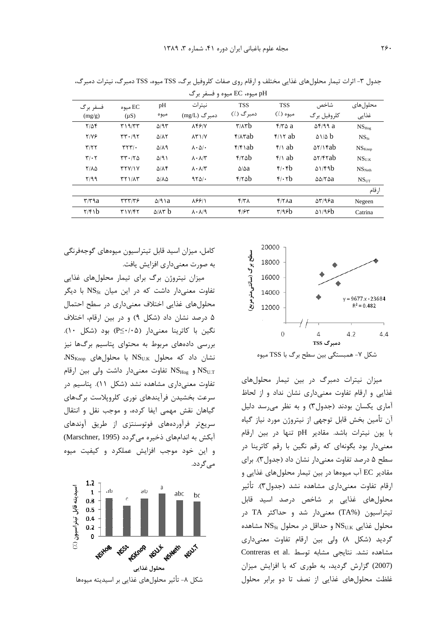| pH میوه، EC میوه و فسفر برگ  |                            |                          |                              |                                             |                                 |                                 |                    |  |
|------------------------------|----------------------------|--------------------------|------------------------------|---------------------------------------------|---------------------------------|---------------------------------|--------------------|--|
| فسفر برگ<br>(mg/g)           | میوه $\rm EC$<br>$(\mu S)$ | pH<br>ميوه               | نيترات<br>دمبرگ (mg/L)       | <b>TSS</b><br>دمبرگ (./)                    | <b>TSS</b><br>ميوه (٪)          | شاخص<br>كلروفيل برگ             | محلولهاى<br>غذايى  |  |
| $Y/\Delta f$                 | T19/TT                     | $\Delta$ /9٣             | $\lambda$ FFIV               | $\mathbf{r}/\mathbf{A}\mathbf{r}\mathbf{b}$ | $f/\overline{r}$ a              | $\Delta$ F/99 a                 | $NS_{Hog}$         |  |
| $Y/Y$ ۶                      | rr.197                     | $\Delta/\Lambda\Upsilon$ | $\lambda Y$ $\gamma$         | $f/\lambda$ rab                             | $f \wedge f$ ab                 | $\Delta$ 1/2 $\bf{b}$           | $NS_{St}$          |  |
| T/T                          | $\mathbf{r}$ $\mathbf{r}$  | $\Delta/\Lambda$ 9       | $\lambda \cdot \Delta/\cdot$ | $f/f$ ab                                    | $\frac{f}{\lambda}$ ab          | $\Delta Y/\gamma$ rab           | NS <sub>Knon</sub> |  |
| $\mathbf{r}/\cdot\mathbf{r}$ | rr.170                     | $\Delta$ /9)             | $\lambda \cdot \lambda/\tau$ | f/6                                         | $\frac{f}{\lambda}$ ab          | $\Delta Y$ /۴۲ab                | $NS_{\rm UK}$      |  |
| $Y/\lambda\Delta$            | YYY/Y                      | $\Delta/\Lambda$ ۴       | $\lambda \cdot \lambda/\tau$ | $\Delta/\Delta a$                           | $\mathfrak{f}/\mathfrak{f}$     | $\Delta$ 1/۴۹ $b$               | NS <sub>N</sub>    |  |
| Y/99                         | <b>TT1/AT</b>              | ۵/۸۵                     | $9Y\Delta$ .                 | f/6b                                        | $\mathfrak{f}$ . $\mathfrak{r}$ | $\Delta\Delta/\Upsilon\Delta a$ | $NS_{\text{UT}}$   |  |
|                              |                            |                          |                              |                                             |                                 |                                 | ارقام              |  |
| $\mathbf{r}/\mathbf{r}$ a    | $\tau\tau\tau/\tau$        | $\Delta$ /91a            | 88811                        | $f/\tau \Lambda$                            | $f/\tau$ Aa                     | $\Delta \mathbf{Y}$ /98 $a$     | Negeen             |  |
| $\frac{7}{6}$                | T1Y/FY                     | $\Delta/\lambda r$ b     | $\lambda \cdot \lambda$ /9   | F/FT                                        | $\tau$ /98b                     | $\Delta$ 1/98b                  | Catrina            |  |

جدول ۳- اثرات تیمار محلول های غذایی مختلف و ارقام روی صفات کلروفیل برگ، TSS میوه، TSS دمبرگ، نیترات دمبرگ،



میزان نیترات دمبرگ در بین تیمار محلولهای غذایی و ارقام تفاوت معنیداری نشان نداد و از لحاظ آماری یکسان بودند (جدول۳) و به نظر می رسد دلیل آن تأمین بخش قابل توجهی از نیتروژن مورد نیاز گیاه با يون نيترات باشد. مقادير pH تنها در بين ارقام معنیدار بود بگونهای که رقم نگین با رقم کاترینا در سطح ۵ درصد تفاوت معنیدار نشان داد (جدول۳). برای مقادیر EC آب میومها در بین تیمار محلولهای غذایی و ارقام تفاوت معنیداری مشاهده نشد (جدول۳). تأثیر محلولهای غذایی بر شاخص درصد اسید قابل تیتراسیون (TA%) معنیدار شد و حداکثر TA در و حداقل در محلول NS<sub>U.K</sub> مشاهده NS<sub>U.K</sub> مشاهده گردید (شکل ۸) ولی بین ارقام تفاوت معنیداری Contreras et al. مشابه توسط Contreras et al. (2007) گزارش گردید، به طوری که با افزایش میزان غلظت محلولهای غذایی از نصف تا دو برابر محلول

کامل، میزان اسید قابل تیتراسیون میوههای گوجهفرنگی به صورت معنىدارى افزايش يافت.

میزان نیتروژن برگ برای تیمار محلولهای غذایی تفاوت معنے دار داشت که در این میان NS<sub>St</sub> با دیگر محلولهای غذایی اختلاف معنیداری در سطح احتمال ۵ درصد نشان داد (شکل ۹) و در بين ارقام، اختلاف نگین با کاترینا معنیدار (P≤·/·۵) بود (شکل ۱۰). بررسی دادههای مربوط به محتوای پتاسیم برگها نیز  $\text{NS}_{\text{Knop}}$  نشان داد که محلول  $\text{NS}_{\text{U.K}}$  با محلول های و NS $_{\rm Hog}$  تفاوت معنىدار داشت ولى بين ارقام NS $_{\rm U.T}$ تفاوت معنیداری مشاهده نشد (شکل ۱۱). پتاسیم در سرعت بخشیدن فرآیندهای نوری کلروپلاست برگهای گیاهان نقش مهمی ایفا کرده، و موجب نقل و انتقال سریعتر فرآوردههای فوتوسنتزی از طریق آوندهای آبکش به اندامهای ذخیره می گردد (Marschner, 1995) و اين خود موجب افزايش عملكرد و كيفيت ميوه مے گر دد.

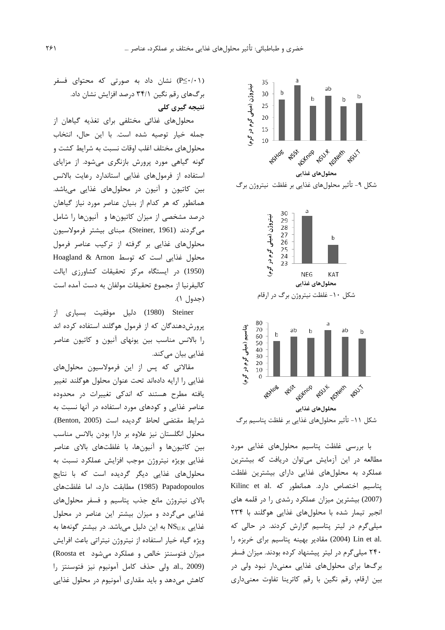

با بررسی غلظت پتاسیم محلولهای غذایی مورد مطالعه در این آزمایش می توان دریافت که بیشترین عملکرد به محلولهای غذایی دارای بیشترین غلظت پتاسيم اختصاص دارد. همانطور كه .Kilinc et al (2007) بیشترین میزان عملکرد رشدی را در قلمه های انجیر تیمار شده با محلول های غذایی هوگلند با ۲۳۴ میلی گرم در لیتر پتاسیم گزارش کردند. در حالی که .Lin et al (2004) مقادير بهينه پتاسيم براي خربزه را ۲۴۰ میلی گرم در لیتر پیشنهاد کرده بودند. میزان فسفر برگها برای محلولهای غذایی معنیدار نبود ولی در بین ارقام، رقم نگین با رقم کاترینا تفاوت معنیداری

(P≤·/·۱) نشان داد به صورتی که محتوای فسفر برگ های رقم نگین ۳۴/۱ درصد افزایش نشان داد. نتیجه گیری کلی

محلول های غذائی مختلفی برای تغذیه گیاهان از جمله خيار توصيه شده است. با اين حال، انتخاب محلولهای مختلف اغلب اوقات نسبت به شرایط کشت و گونه گیاهی مورد پرورش بازنگری میشود. از مزایای استفاده از فرمول های غذایی استاندارد رعایت بالانس بین کاتیون و آنیون در محلولهای غذایی میباشد. همانطور که هر کدام از بنیان عناصر مورد نیاز گیاهان درصد مشخصی از میزان کاتیونها و آنیونها را شامل میگردند (Steiner, 1961). مبنای بیشتر فرمولاسیون محلول های غذایی بر گرفته از ترکیب عناصر فرمول محلول غذایی است که توسط Hoagland & Arnon (1950) در ایستگاه مرکز تحقیقات کشاورزی ایالت كاليفرنيا از مجموع تحقيقات مولفان به دست آمده است (جدول ۱).

Steiner (1980) دلیل موفقیت بسیاری از پرورش دهندگان که از فرمول هوگلند استفاده کرده اند را بالانس مناسب بین یونهای آنیون و کاتیون عناصر غذایی بیان می کند.

مقالاتی که پس از این فرمولاسیون محلولهای غذایی را ارایه دادهاند تحت عنوان محلول هوگلند تغییر یافته مطرح هستند که اندکی تغییرات در محدوده عناصر غذایی و کودهای مورد استفاده در آنها نسبت به شرايط مقتضى لحاظ گرديده است (Benton, 2005). محلول انگلستان نیز علاوه بر دارا بودن بالانس مناسب بین کاتیونها و آنیونها، با غلظتهای بالای عناصر غذایی بویژه نیتروژن موجب افزایش عملکرد نسبت به محلول های غذایی دیگر گردیده است که با نتایج Papadopoulos (1985) مطابقت دارد، اما غلظتهای بالای نیتروژن مانع جذب پتاسیم و فسفر محلولهای غذایی میگردد و میزان بیشتر این عناصر در محلول غذایی NS<sub>U.K</sub> به این دلیل میباشد. در بیشتر گونهها به ویژه گیاه خیار استفاده از نیتروژن نیتراتی باعث افرایش میزان فتوسنتز خالص و عملکرد می شود Roosta et) al., 2009). ولى حذف كامل آمونيوم نيز فتوسنتز را کاهش میدهد و باید مقداری آمونیوم در محلول غذایی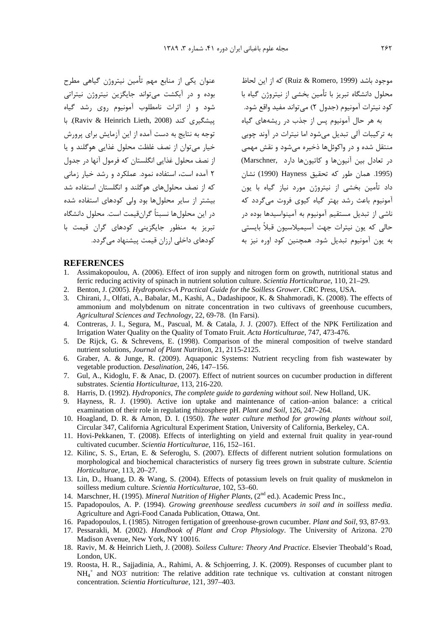عنوان یکی از منابع مهم تأمین نیتروژن گیاهی مطرح بوده و در آبکشت می تواند جایگزین نیتروژن نیتراتی شود و از اثرات نامطلوب آمونیوم روی رشد گیاه يېشگىرى كند (Raviv & Heinrich Lieth, 2008). با توجه به نتایج به دست آمده از این آزمایش برای پرورش خيار مي توان از نصف غلظت محلول غذايي هوگلند و يا از نصف محلول غذایی انگلستان که فرمول آنها در جدول ٢ آمده است، استفاده نمود. عملكرد و رشد خيار زمانى که از نصف محلولهای هوگلند و انگلستان استفاده شد بیشتر از سایر محلولها بود ولی کودهای استفاده شده در این محلولها نسبتاً گرانقیمت است. محلول دانشگاه تبریز به منظور جایگزینی کودهای گران قیمت با کودهای داخلی ارزان قیمت پیشنهاد میگردد.

موجود باشد (Ruiz & Romero, 1999) كه از این لحاظ محلول دانشگاه تبریز با تأمین بخشی از نیتروژن گیاه با کود نیترات آمونیوم (جدول ۲) مے تواند مفید واقع شود.

به هر حال آمونیوم پس از جذب در ریشههای گیاه به ترکیبات آلی تبدیل می شود اما نیترات در آوند چوبی منتقل شده و در واکوئلها ذخیره می شود و نقش مهمی در تعادل بين آنيون ها و كاتيون ها دارد (Marschner .<br>(1995. همان طور كه تحقيق Hayness (1990) نشان داد تأمین بخشی از نیتروژن مورد نیاز گیاه با یون آمونیوم باعث رشد بهتر گیاه کیوی فروت مے گردد که ناشی از تبدیل مستقیم آمونیوم به آمینواسیدها بوده در ۔<br>حالی که یون نیترات جهت آسیمیلاسیون قبلاً بایستی به یون آمونیوم تبدیل شود. همچنین کود اوره نیز به

## **REFERENCES**

- Assimakopoulou, A. (2006). Effect of iron supply and nitrogen form on growth, nutritional status and  $1$ ferric reducing activity of spinach in nutrient solution culture. Scientia Horticulturae, 110, 21–29.
- Benton, J. (2005). Hydroponics-A Practical Guide for the Soilless Grower. CRC Press, USA. 2.
- Chirani, J., Olfati, A., Babalar, M., Kashi, A., Dadashipoor, K. & Shahmoradi, K. (2008). The effects of ammonium and molybdenum on nitrate concentration in two cultivavs of greenhouse cucumbers, Agricultural Sciences and Technology, 22, 69-78. (In Farsi).
- 4. Contreras, J. I., Segura, M., Pascual, M. & Catala, J. J. (2007). Effect of the NPK Fertilization and Irrigation Water Quality on the Quality of Tomato Fruit. Acta Horticulturae, 747, 473-476.
- 5. De Rijck, G. & Schrevens, E. (1998). Comparison of the mineral composition of twelve standard nutrient solutions, Journal of Plant Nutrition, 21, 2115-2125.
- 6. Graber, A. & Junge, R. (2009). Aquaponic Systems: Nutrient recycling from fish wastewater by vegetable production. *Desalination*, 246, 147-156.
- 7. Gul, A., Kidoglu, F. & Anac, D. (2007). Effect of nutrient sources on cucumber production in different substrates. Scientia Horticulturae, 113, 216-220.
- 8. Harris, D. (1992). Hydroponics, The complete guide to gardening without soil. New Holland, UK.
- 9. Hayness, R. J. (1990). Active ion uptake and maintenance of cation-anion balance: a critical examination of their role in regulating rhizosphere pH. Plant and Soil, 126, 247-264.
- 10. Hoagland, D. R. & Arnon, D. I. (1950). The water culture method for growing plants without soil, Circular 347, California Agricultural Experiment Station, University of California, Berkeley, CA.
- 11. Hovi-Pekkanen, T. (2008). Effects of interlighting on yield and external fruit quality in year-round cultivated cucumber. Scientia Horticulturae, 116, 152-161.
- 12. Kilinc, S. S., Ertan, E. & Seferoglu, S. (2007). Effects of different nutrient solution formulations on morphological and biochemical characteristics of nursery fig trees grown in substrate culture. Scientia Horticulturae, 113, 20-27.
- 13. Lin, D., Huang, D. & Wang, S. (2004). Effects of potassium levels on fruit quality of muskmelon in soilless medium culture. Scientia Horticulturae, 102, 53-60.
- 14. Marschner, H. (1995). Mineral Nutrition of Higher Plants, (2<sup>nd</sup> ed.). Academic Press Inc.,
- 15. Papadopoulos, A. P. (1994). Growing greenhouse seedless cucumbers in soil and in soilless media. Agriculture and Agri-Food Canada Publication, Ottawa, Ont.
- 16. Papadopoulos, I. (1985). Nitrogen fertigation of greenhouse-grown cucumber. Plant and Soil, 93, 87-93.
- 17. Pessarakli, M. (2002). Handbook of Plant and Crop Physiology. The University of Arizona. 270 Madison Avenue, New York, NY 10016.
- 18. Raviv, M. & Heinrich Lieth, J. (2008). Soiless Culture: Theory And Practice. Elsevier Theobald's Road, London, UK.
- 19. Roosta, H. R., Sajiadinia, A., Rahimi, A. & Schioerring, J. K. (2009). Responses of cucumber plant to  $NH<sub>4</sub><sup>+</sup>$  and NO3<sup>-</sup> nutrition: The relative addition rate technique vs. cultivation at constant nitrogen concentration. Scientia Horticulturae, 121, 397-403.